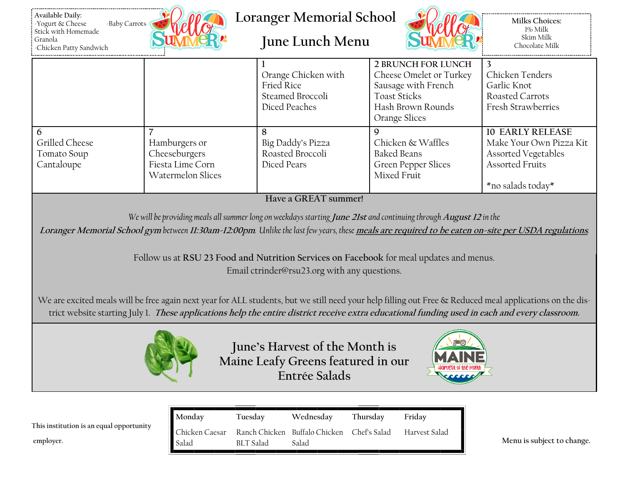



**Loranger Memorial School**

**June Lunch Menu**



**Milks Choices:** 1% Milk Skim Milk Chocolate Milk

|                                             |                                                                         | Orange Chicken with<br>Fried Rice<br>Steamed Broccoli<br>Diced Peaches | 2 BRUNCH FOR LUNCH<br>Cheese Omelet or Turkey<br>Sausage with French<br><b>Toast Sticks</b><br>Hash Brown Rounds<br>Orange Slices | Chicken Tenders<br>Garlic Knot<br>Roasted Carrots<br><b>Fresh Strawberries</b>                                           |
|---------------------------------------------|-------------------------------------------------------------------------|------------------------------------------------------------------------|-----------------------------------------------------------------------------------------------------------------------------------|--------------------------------------------------------------------------------------------------------------------------|
| Grilled Cheese<br>Tomato Soup<br>Cantaloupe | Hamburgers or<br>Cheeseburgers<br>Fiesta Lime Corn<br>Watermelon Slices | Big Daddy's Pizza<br>Roasted Broccoli<br>Diced Pears                   | Chicken & Waffles<br>Baked Beans<br><b>Green Pepper Slices</b><br>Mixed Fruit                                                     | <b>10 EARLY RELEASE</b><br>Make Your Own Pizza Kit<br>Assorted Vegetables<br><b>Assorted Fruits</b><br>*no salads today* |

**Have a GREAT summer!**

*We will be providing meals all summer long on weekdays starting* **June 21st** *and continuing through* **August 12** *in the*

**Loranger Memorial School gym** *between* **11:30am-12:00pm***. Unlike the last few years, these* **meals are required to be eaten on-site per USDA regulations***.* 

Follow us at **RSU 23 Food and Nutrition Services on Facebook** for meal updates and menus. Email ctrinder@rsu23.org with any questions.

We are excited meals will be free again next year for ALL students, but we still need your help filling out Free & Reduced meal applications on the district website starting July 1. **These applications help the entire district receive extra educational funding used in each and every classroom.**



**June's Harvest of the Month is Maine Leafy Greens featured in our Entrée Salads**



|                                          | ∥ Monday          | Tuesday          | Wednesdav                     | Thursday     | Friday        |
|------------------------------------------|-------------------|------------------|-------------------------------|--------------|---------------|
| This institution is an equal opportunity | ∣∎ Chicken Caesar |                  | Ranch Chicken Buffalo Chicken | Chef's Salad | Harvest Salad |
| employer.                                | Salac             | <b>BLT</b> Salad | Salad                         |              |               |